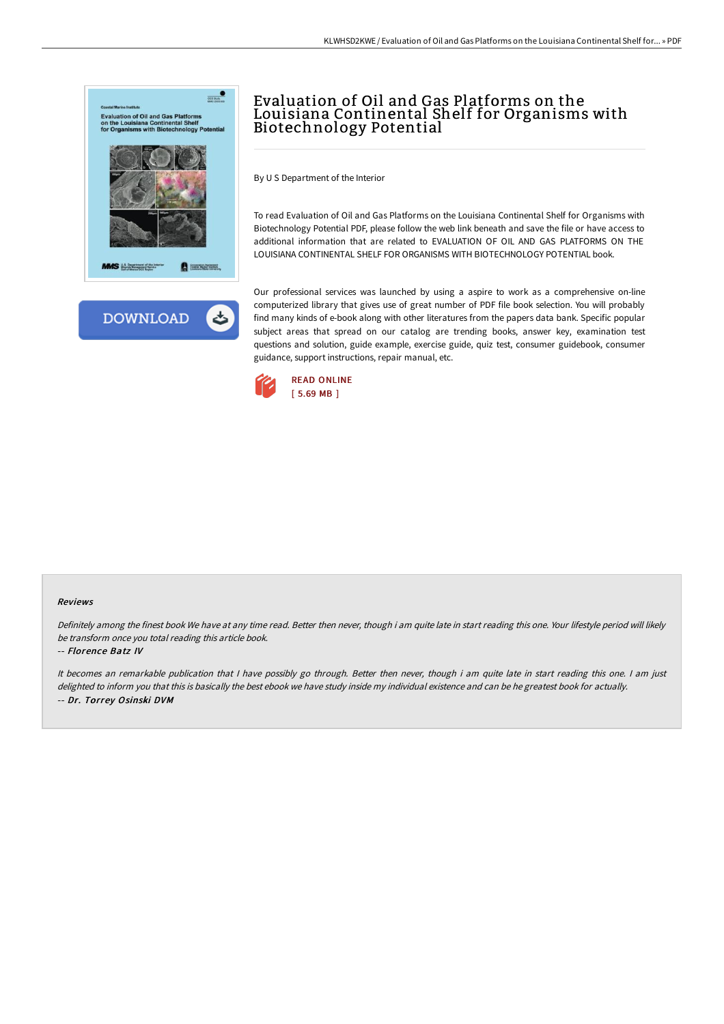



# Evaluation of Oil and Gas Platforms on the Louisiana Continental Shelf for Organisms with Biotechnology Potential

By U S Department of the Interior

To read Evaluation of Oil and Gas Platforms on the Louisiana Continental Shelf for Organisms with Biotechnology Potential PDF, please follow the web link beneath and save the file or have access to additional information that are related to EVALUATION OF OIL AND GAS PLATFORMS ON THE LOUISIANA CONTINENTAL SHELF FOR ORGANISMS WITH BIOTECHNOLOGY POTENTIAL book.

Our professional services was launched by using a aspire to work as a comprehensive on-line computerized library that gives use of great number of PDF file book selection. You will probably find many kinds of e-book along with other literatures from the papers data bank. Specific popular subject areas that spread on our catalog are trending books, answer key, examination test questions and solution, guide example, exercise guide, quiz test, consumer guidebook, consumer guidance, support instructions, repair manual, etc.



#### Reviews

Definitely among the finest book We have at any time read. Better then never, though i am quite late in start reading this one. Your lifestyle period will likely be transform once you total reading this article book.

### -- Florence Batz IV

It becomes an remarkable publication that I have possibly go through. Better then never, though i am quite late in start reading this one. I am just delighted to inform you that this is basically the best ebook we have study inside my individual existence and can be he greatest book for actually. -- Dr. Torrey Osinski DVM